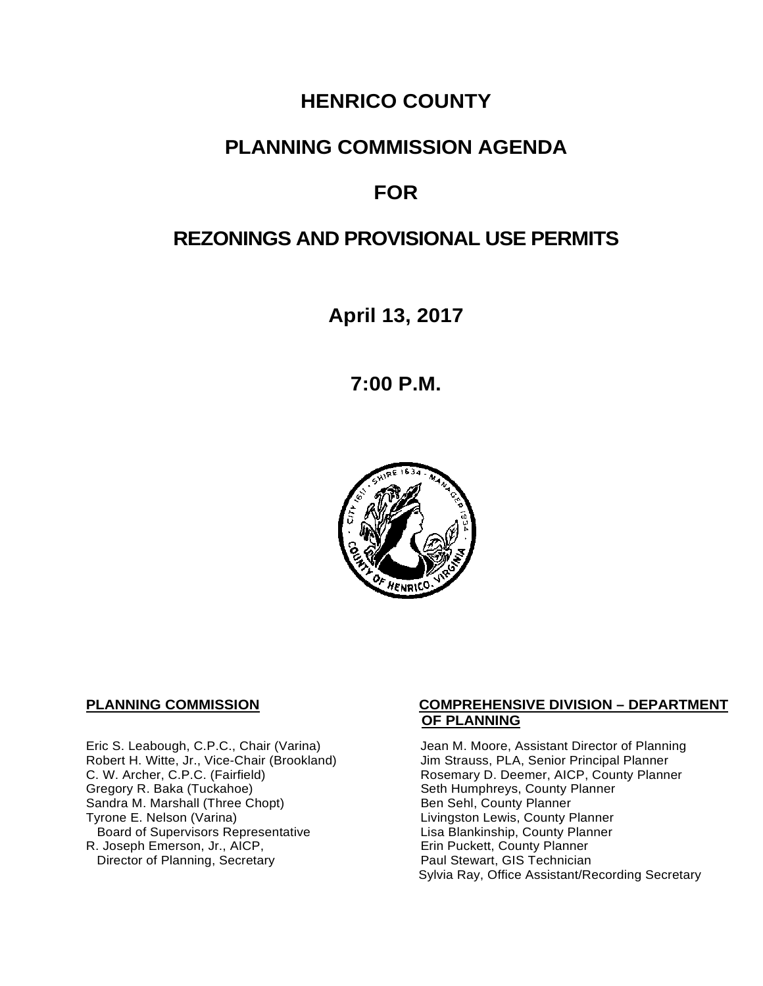# **HENRICO COUNTY**

# **PLANNING COMMISSION AGENDA**

# **FOR**

# **REZONINGS AND PROVISIONAL USE PERMITS**

**April 13, 2017**

**7:00 P.M.**



Eric S. Leabough, C.P.C., Chair (Varina) Jean M. Moore, Assistant Director of Planning<br>Robert H. Witte, Jr., Vice-Chair (Brookland) Jim Strauss, PLA, Senior Principal Planner Robert H. Witte, Jr., Vice-Chair (Brookland)<br>C. W. Archer, C.P.C. (Fairfield) Sandra M. Marshall (Three Chopt)<br>Tyrone E. Nelson (Varina) Board of Supervisors Representative 
Lisa Blankinship, County Planner<br>
Lisa Blankinship, County Planner<br>
Lisa Blankinship, County Planner R. Joseph Emerson, Jr., AICP, Erin Puckett, County Planner<br>
Director of Planning, Secretary **Exercise Paul Stewart, GIS Technician** Director of Planning, Secretary

## **PLANNING COMMISSION COMPREHENSIVE DIVISION – DEPARTMENT OF PLANNING**

C. W. Archer, C.P.C. (Fairfield) <br>Gregory R. Baka (Tuckahoe) Rosemary D. Deemer, AICP, County Planner<br>
Seth Humphreys, County Planner Seth Humphreys, County Planner<br>Ben Sehl, County Planner Livingston Lewis, County Planner Sylvia Ray, Office Assistant/Recording Secretary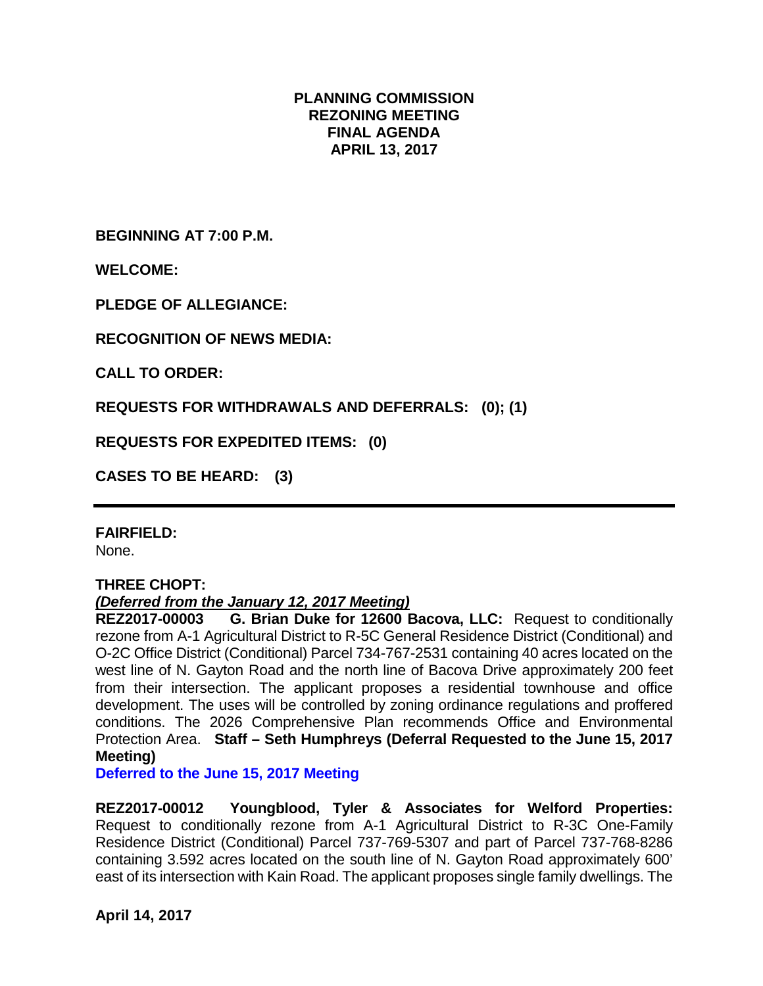# **PLANNING COMMISSION REZONING MEETING FINAL AGENDA APRIL 13, 2017**

**BEGINNING AT 7:00 P.M.**

**WELCOME:**

**PLEDGE OF ALLEGIANCE:**

**RECOGNITION OF NEWS MEDIA:**

**CALL TO ORDER:**

**REQUESTS FOR WITHDRAWALS AND DEFERRALS: (0); (1)**

**REQUESTS FOR EXPEDITED ITEMS: (0)**

**CASES TO BE HEARD: (3)**

**FAIRFIELD:** 

None.

## **THREE CHOPT:**

# *(Deferred from the January 12, 2017 Meeting)*

**REZ2017-00003 G. Brian Duke for 12600 Bacova, LLC:** Request to conditionally rezone from A-1 Agricultural District to R-5C General Residence District (Conditional) and O-2C Office District (Conditional) Parcel 734-767-2531 containing 40 acres located on the west line of N. Gayton Road and the north line of Bacova Drive approximately 200 feet from their intersection. The applicant proposes a residential townhouse and office development. The uses will be controlled by zoning ordinance regulations and proffered conditions. The 2026 Comprehensive Plan recommends Office and Environmental Protection Area. **Staff – Seth Humphreys (Deferral Requested to the June 15, 2017 Meeting)**

**Deferred to the June 15, 2017 Meeting**

**REZ2017-00012 Youngblood, Tyler & Associates for Welford Properties:** Request to conditionally rezone from A-1 Agricultural District to R-3C One-Family Residence District (Conditional) Parcel 737-769-5307 and part of Parcel 737-768-8286 containing 3.592 acres located on the south line of N. Gayton Road approximately 600' east of its intersection with Kain Road. The applicant proposes single family dwellings. The